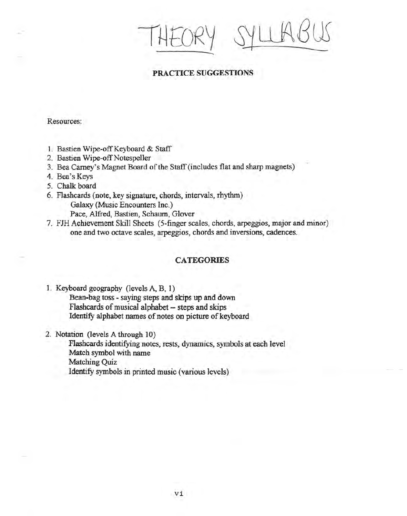THEORY  $-$ 

## PRACTICE SUGGESTIONS

Resources:

- 1. Bastien Wipe-off Keyboard & Staff
- 2. Bastien Wipe-off Notespeller
- 3. Bea Carney's Magnet Board of the Staff (includes flat and sharp magnets)
- 4. Bea's Keys
- 5. Chalk board
- 6. Flashcards (note, key signature, chords, intervals, rhythm) Galaxy (Music Encounters Inc.) Pace, Alfred, Bastien, Schaum, Glover
- 7. FJH Achievement Skill Sheets (5-finger scales, chords, arpeggios, major and minor)
- one and two octave scales, arpeggios, chords and inversions, cadences.

### **CATEGORIES**

- 1. Keyboard geography (levels A, B, 1) Bean-bag toss - saying steps and skips up and down Flashcards of musical alphabet -- steps and skips Identify alphabet names of notes on picture of keyboard
- 2. Notation (levels A through 10)

Flashcards identifying notes, rests, dynamics, symbols at eacb level Match symbol with name Matching Quiz Identify symbols in printed music (various levels)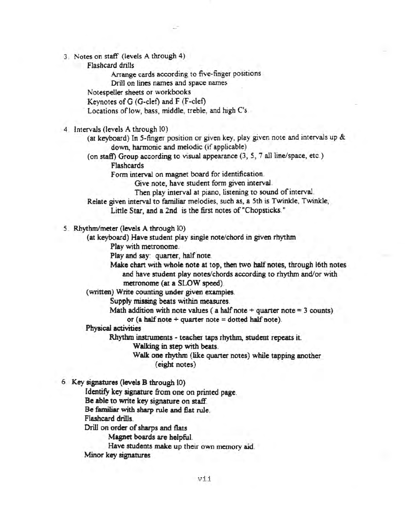- 3. Notes on staff (levels A through 4)
	- Flashcard drills

Arrange cards according to five-finger positions

Drill on lines names and space names

Notespeller sheets or workbooks

Keynotes of G (G-c1ef) and F (F-clef)

Locations of low, bass, middle, treble, and high C's

4. Intervals (levels A through 10)

(at keyboard) In 5-finger position or given key, play given note and intervals up & down, harmonic and melodic (if applicable)

(on staff) Group according to visual appearance (3, 5, 7 all line/space, etc.) Flashcards

Form interval on magnet board for identification.

Give note, have student form given interval.

Then play interval at piano, listening to sound of interval.

Relate given interval to familiar melodies, such as, a 5th is Twinkle, Twinkle, Little Star, and a 2nd is the first notes of "Chopsticks."

5. Rhythm/meter (levels A through 10)

(at keyboard) Have student play single note/chord in given rhythm

Play with metronome.

Play and say: quarter, half note.

Make chart with whole note at top, then two half notes, through 16th notes and have student play notes/chords according to rhythm and/or with metronome (at a SLOW speed).

(written) Write counting under given examples.

Supply missing beats within measures.

Math addition with note values (a half note + quarter note =  $3$  counts)

or (a half note  $+$  quarter note  $=$  dotted half note).

Physical activities

Rhythm instruments - teacher taps rhythm, student repeats it.

Walking in step with beats.

Walk one rhythm (like quarter notes) while tapping another (eight notes)

6. Key signatures (levels B through (0)

Identify key signature from one on printed page.

Be able to write key signature on staff.

Be familiar with sharp rule and Bat rule,

Flashcard drills.

Drill on order of sharps and flats

Magnet boards are helpful.

Have students make up their own memory aid

Minor key signatures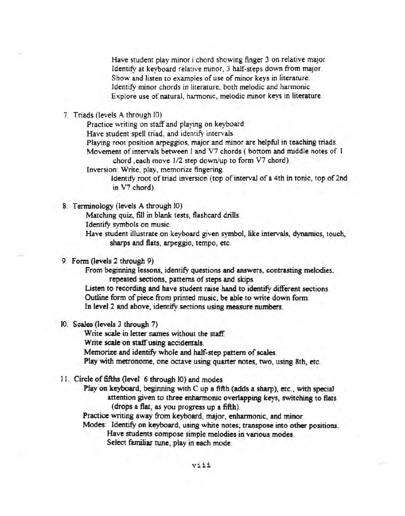Have student play minor ichord showing finger 3 on relative major Identify at keyboard relative minor, 3 half-steps down from major. Show and listen to examples of use of minor keys in literature. Identify minor chords in literature, both melodic and harmonic. Explore use of natural, harmonic, melodic minor keys in literature

7 Triads (levels A through 10)

Practice writing on staff and playing on keyboard

Have student spell triad, and identify intervals.

Playing root position arpeggios, major and minor are helpful in teaching triads. Movement of intervals between I and V7 chords ( bottom and middle notes of I

chord ,each move *112* step down/up to form V7 chord).

Inversion: Write, play, memorize fingering.

Identify root of triad inversion (top of interval of a 4th in tonic, top of 2nd in V7 chord).

8. Terminology (levels A through 10)

Matching quiz, fill in blank tests, flashcard drills.

Identify symbols on music

Have student illustrate on keyboard given symbol, like intervals, dynamics, touch, sharps and flats, arpeggio, tempo, etc.

#### 9. Form (levels 2 through 9)

From beginning lessons, identify questions and answers, contrasting melodies. repeated sections, patterns of steps and skips.

Listen to recording and have student raise hand to identify different sections Outline form of piece from printed music; be able to write down form. In level 2 and above, identify sections using measure numbers.

10. Scales (levels 3 through 7)

Write scale in letter names without the staff. Write scale on staff using accidentals. Memorize and identify whole and half-step pattern of scales. Play with metronome, one octave using quarter notes, two, using 8th, etc.

11. Circle of fifths (level 6 through 10) and modes

Play on keyboard, beginning with C up a fifth (adds a sharp), etc., with special attention given to three enharmonic overlapping keys, switching to flats (drops a flat, as you progress up a fifth).

Practice writing away from keyboard, major, enharmonic, and minor.

Modes: Identify on keyboard, using white notes; transpose into other positions. Have students compose simple melodies in various modes. Select familiar tune; play in each mode.

viii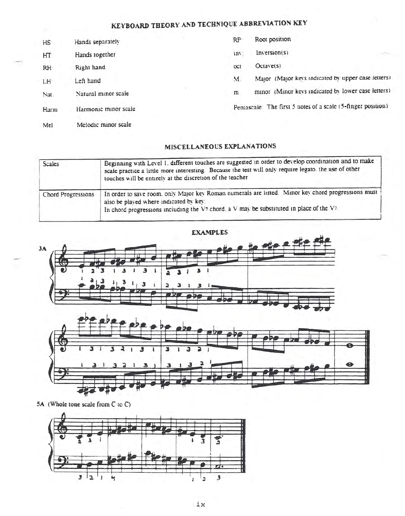# KEYBOARD THEORY AND TECHNIQUE ABBREVIATION KEY

| HS        | Hands separately     | RP  | Root position                                               |
|-----------|----------------------|-----|-------------------------------------------------------------|
| HT        | Hands together       | 10V | Inversion(s)                                                |
| <b>RH</b> | Right hand           | oct | Octave(s)                                                   |
| LH        | Left hand            | M   | Major (Major keys indicated by upper case letters)          |
| Nat:      | Natural minor scale  | m.  | minor (Minor keys indicated by lower case letters)          |
| Harm      | Harmonic minor scale |     | Pentascale The first 5 notes of a scale (5-finger position) |
| Mel       | Melodic minor scale  |     |                                                             |

## MISCELLANEOUS EXPLANATIONS

| <b>Scales</b>      | Beginning with Level 1, different touches are suggested in order to develop coordination and to make<br>scale practice a little more interesting. Because the test will only require legato, the use of other<br>touches will be entirely at the discretion of the teacher |
|--------------------|----------------------------------------------------------------------------------------------------------------------------------------------------------------------------------------------------------------------------------------------------------------------------|
| Chord Progressions | In order to save room, only Major key Roman numerals are listed. Minor key chord progressions must<br>also be played where indicated by key.<br>In chord progressions including the $V_7$ chord, a $V$ may be substituted in place of the $V_7$ .                          |







5A (Whole tone scale from C to C)

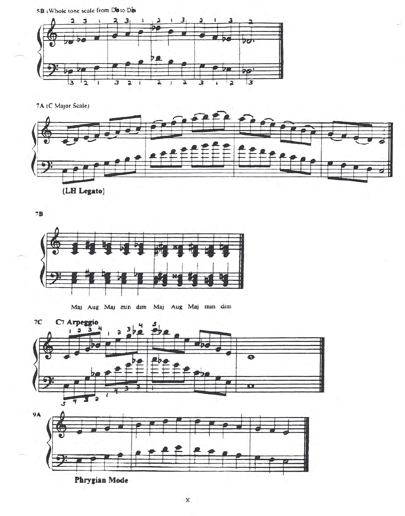5B (Whole tone scale from Disto Dist



7A (C Major Scale)



 $7B$ 



Maj Aug Maj min dim Maj Aug Maj min dim





Phrygian Mode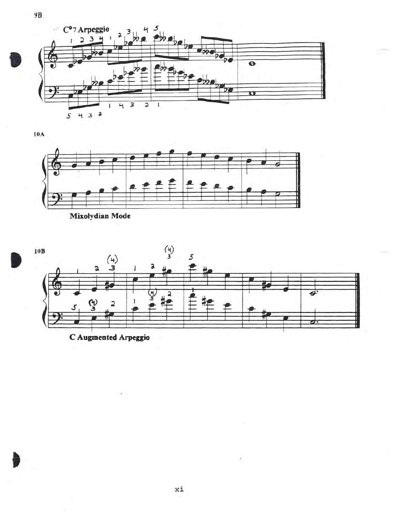

 $10A$ 





÷.

i.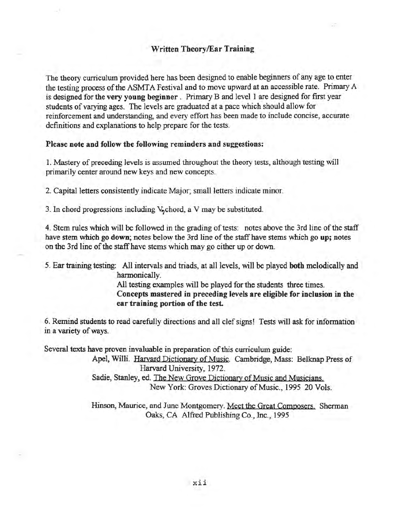The theory curriculum provided here has been designed to enable beginners of any age to enter the testing process of the ASMTA Festival and to move upward at an accessible rate. Primary A is designed for the very young beginner. Primary B and level 1 are designed for first year students of varying ages. The levels are graduated at a pace which should allow for reinforcement and understanding, and every effort has been made to include concise, accurate definitions and explanations to help prepare for the tests.

### Please note and follow the following reminders and suggestions:

1. Mastery of preceding levels is assumed throughout the theory tests, although testing will primarily center around new keys and new concepts.

2. Capital letters consistently indicate Major; small letters indicate minor.

3. In chord progressions including  $V_n$ chord, a V may be substituted.

4. Stem rules which will be followed in the grading of tests: notes above the 3rd line of the staff have stem which go down; notes below the 3rd line of the staff have stems which go up; notes on the 3rd line of the staff have stems which may go either up or down.

5. Ear training testing: All intervals and triads, at all levels, will be played both melodically and harmonically.

> All testing examples will be played for the students three times. Concepts mastered in preceding levels are eligible for inclusion in the ear training portion of the test.

6. Remind students to read carefully directions and all clef signs! Tests will ask for information in a variety of ways.

Several texts have proven invaluable in preparation of this curriculum guide:

Apel, Willi. Harvard Dictionary of Music. Cambridge, Mass: Belknap Press of Harvard University, 1972. Sadie, Stanley, ed. The New Groye Dictionary of Music and Musicians. New York: Groves Dictionary of Music., 1995 20 Vols.

Hinson, Maurice, and June Montgomery. Meet the Great Composers. Sherman Oaks, CA Alfred Publishing Co., Inc., 1995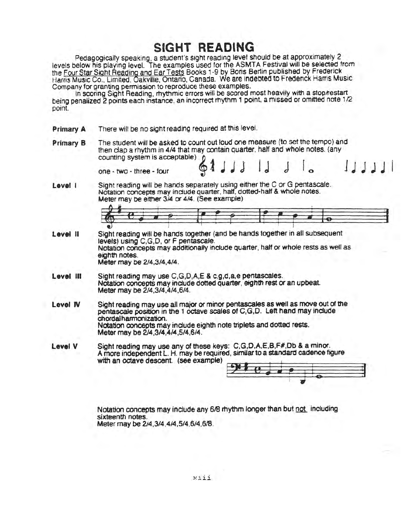# **SIGHT READING**

Pedagogically speaking, a student's sight reading level should be at approximately 2 levels below his playing level. The examples used for the ASMTA Festival will be selected from the Four Star Sight Reading and Ear Tests Books 1-9 by Boris Benin published by Frederick Harris Music Co., Limited, Oakville, Ontario, Canada. We are indebted to Frederick Harris Music Company for granting permission to reproduce these examples.

In scoring Sight Reading, rhythmic errors will be scored most heavily with a stop/restart being penalized 2 points each instance, an incorrect rhythm 1 point, a missed or omitted note 1/2 point.

- Primary A There will be no sight reading required at this level.
- Primary B The student will be asked to count out loud one measure (to set the tempo) and then clap a rhythm in 4/4 that may contain quarter. half and whole notes. (any counting system is acceptable)  $\land$

 $one - two - three - four$ 

Level *I* Sight reading will be hands separately using either the C or G pentascale. Notation concepts may indude quarter. half, dotted-half & whole notes. Meter may be either 3/4 Of *4/4.* (See example)

- level II Sight reading will be hands together (and be hands together in all subsequent levels) using C,G,D, or F pentascale. Notation concepts may additionally include quarter, half or whole rests as well as eighth notes. Meter may be 214.3/4.4/4.
- level <sup>111</sup> Sight reading may use C.G,D.A,E & c.q.d.a,e pentascaies. Notation concepts may indude dotted quarter. eighth rest or an upbeat Meter may be 2/4.3/4,4/4.6/4.
- Level IV Sight reading may use all major or minor pentascales as well as move out of the pentascale position in the 1 octave scales of C,G,D. Left hand may include chordal harmooizatiOn. Notation concepts may indude eighth note triplets and dotted rests. Meter may be *2/4.3/4,414.5/4.6/4.*
- level V Sight reading may use any of these keys: C.G.D.A.E.B.F#.Db & a minor. A more independent L. H. may be required, similar to a standard cadence figure with an octave descent. (see example)



lJJJ.J I

Notation concepts may include any 6/8 rhythm longer than but not including sixteentri notes. Meter may be *214.3/4.4/4.5/4,6/4.618.*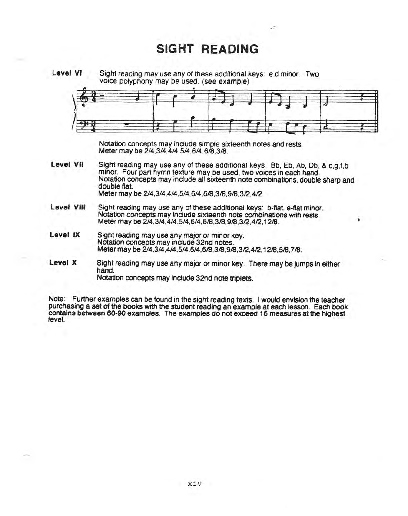## **SIGHT READING**

Level VI Sight reading may use any of these additional keys: e.d minor. Two voice polyphony may be used. (see example)

•

Meter may be *2/4,3/4,4/4,5/4,6/4,618,318.*

- Sight reading may use any of these additional keys: Bb, Eb, Ab, Db, & c, g, f, b minor. Four pan hymn texture may be used, two voices in each hand. Notation concepts may include all sixteenth note combinations, double sharp and double flat. Meter may be *2/4,3/4,4/4,5/4,6/4,618.318,918,312,412.* Level VII
- Level VIII Sight reading may use any of these additional keys: b-flat. e-flat minor. Notation concepts may include sixteenth note combinations with rests. Meter may be  $2/4$ ,  $3/4$ ,  $4/4$ ,  $5/4$ ,  $6/4$ ,  $6/8$ ,  $3/8$ ,  $9/8$ ,  $3/2$ ,  $4/2$ ,  $12/8$ .
- Level IX Sight reading may use any *major* or minor key. Notation concepts may include 32nd notes. Meter may be 2/4,3/4,4/4,5/4,6/4,6/8,3/8,9/8,3/2,4/2,12/8,5/8,7/8.
- Level X Sight reading may use any major or minor key. There may be jumps in either hand. Notation concepts may include 32nd note triplets.

Note: Further examples can be found in the sight reading texts. Iwould envision the teacher purchasing a set of the books with the student reading an example at each lesson. Each book contains between 60-90 examples. The examples do not exceed 16 measures at the highest level.